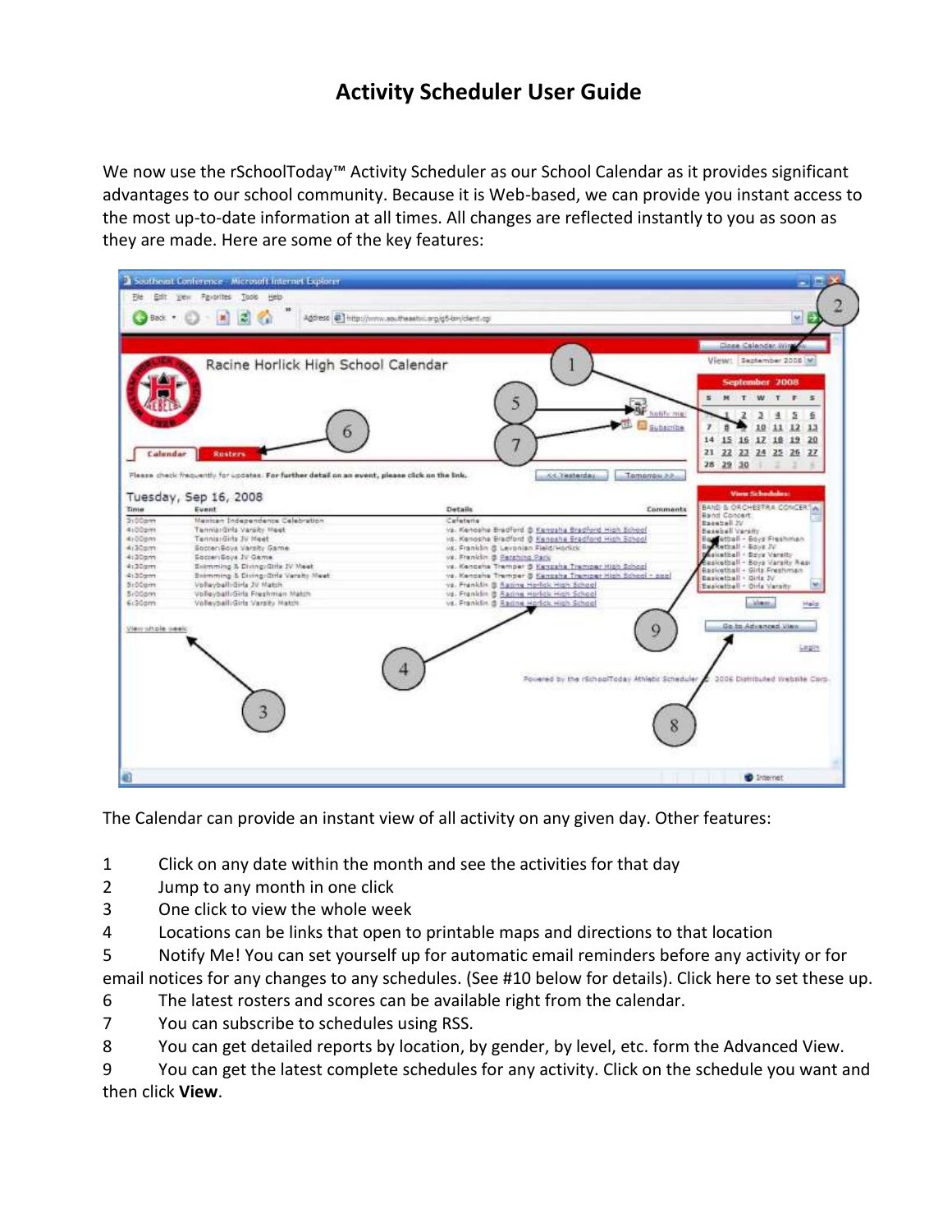## **Activity Scheduler User Guide**

We now use the rSchoolToday™ Activity Scheduler as our School Calendar as it provides significant advantages to our school community. Because it is Web‐based, we can provide you instant access to the most up‐to‐date information at all times. All changes are reflected instantly to you as soon as they are made. Here are some of the key features:

| Đe.                                                                                                                          | Edit yew Pavarites Tools Help<br>200<br>Back (* 183)                                                                                                                                                                                                                                                                                                                                                                                                         | Agdress @ http://www.southeastw.org/g5-bn/clent.cg                                                                                                                                                                                                                                                                                                                                                                                                                                                                                                                      | M.                                                                                                                                                                                                                                                                                                                                                                                                                                   |
|------------------------------------------------------------------------------------------------------------------------------|--------------------------------------------------------------------------------------------------------------------------------------------------------------------------------------------------------------------------------------------------------------------------------------------------------------------------------------------------------------------------------------------------------------------------------------------------------------|-------------------------------------------------------------------------------------------------------------------------------------------------------------------------------------------------------------------------------------------------------------------------------------------------------------------------------------------------------------------------------------------------------------------------------------------------------------------------------------------------------------------------------------------------------------------------|--------------------------------------------------------------------------------------------------------------------------------------------------------------------------------------------------------------------------------------------------------------------------------------------------------------------------------------------------------------------------------------------------------------------------------------|
| Calendar                                                                                                                     | Racine Horlick High School Calendar<br><b>Rusters</b>                                                                                                                                                                                                                                                                                                                                                                                                        | 5<br>7                                                                                                                                                                                                                                                                                                                                                                                                                                                                                                                                                                  | Gose Calendar, Nine<br>View: Sezkember 2008 M<br>September 2008<br>S M T W T F S<br>hold's mix.<br>Σ<br>生<br>Subacribe<br>11 12 13<br>10<br>15 16 17 18 19 20<br>14<br>21 22 23 24 25 26 27<br>28 29 30<br>×                                                                                                                                                                                                                         |
| Time<br>3:00am<br>4:00pm<br>eneddia<br>4130gm<br>4:30am<br>4:30am<br>4:30am<br>5:00am<br>SrDGgm<br>6:30am<br>View whole week | Please check frequently for updates. For further detail on an event, please click on the link.<br>Tuesday, Sep 16, 2008<br>Event<br>Mexican Independence Calebration<br>Tennis: Gris Varsity Meet<br>Tennis Girls 3V Meet<br>SocieriSoys Varsity Game<br>Socieri Soys 1V Game<br>Entraming & Diving Girls JV Meet<br>Scimming & Diving-Ottle Varaity Meet<br>Vollayball:Girls JV Match.<br>Volleyball:Girla Freshman Match<br>Volleyball:Girls Varsity Match | <b>CC. Yesterday</b><br>Tamamare 3.3<br>Details<br>Carleteria<br>vs. Kenoshe Bradford & Kenosha Bradford High School<br>us. Kenosha Bradford @ Kenosha Bradford High School<br>vs. Franklin & Levonian Field/Horizk.<br>va. Franklin @ <u>Perching Park</u><br>vs. Kencella Tremper & Kencalla Tremper High School<br>vs. Kencehs Tremper & Kencsha Tremper High School - soul<br>vs. Franklin @ Aadina Horfick High School<br>va. Franklin @ Radine Horfick High School<br>vs. Franklin & Radine Horfick High School<br>Forared by the rSchoolToday Athletic Scheduler | View Schedules:<br>BAND & ORCHESTRA CONCERTIAL<br><b>Comments</b><br><b>Band Concert.</b><br>Daceball 2V<br>Besieball Varsity<br>Ball etheli - Boys Freshman<br>En<br>Rethall - Boys JV<br>sitatball - Boya Varsity<br>asketball - Boys Varsity Aes-<br>Basketball + Girls Freshman<br>Baskethall - Girls JV<br>Besketbell - Oirle Versitz<br>Alam.<br>Heid.<br>Go.to.Advanced.View<br>Q<br>Light.<br>3006 Distributed Website Cism. |
|                                                                                                                              | 3                                                                                                                                                                                                                                                                                                                                                                                                                                                            |                                                                                                                                                                                                                                                                                                                                                                                                                                                                                                                                                                         | 8                                                                                                                                                                                                                                                                                                                                                                                                                                    |

The Calendar can provide an instant view of all activity on any given day. Other features:

- 1 Click on any date within the month and see the activities for that day
- 2 Jump to any month in one click
- 3 One click to view the whole week
- 4 Locations can be links that open to printable maps and directions to that location
- 5 Notify Me! You can set yourself up for automatic email reminders before any activity or for

email notices for any changes to any schedules. (See #10 below for details). Click here to set these up.

- 6 The latest rosters and scores can be available right from the calendar.
- 7 You can subscribe to schedules using RSS.

8 You can get detailed reports by location, by gender, by level, etc. form the Advanced View.

9 You can get the latest complete schedules for any activity. Click on the schedule you want and then click **View**.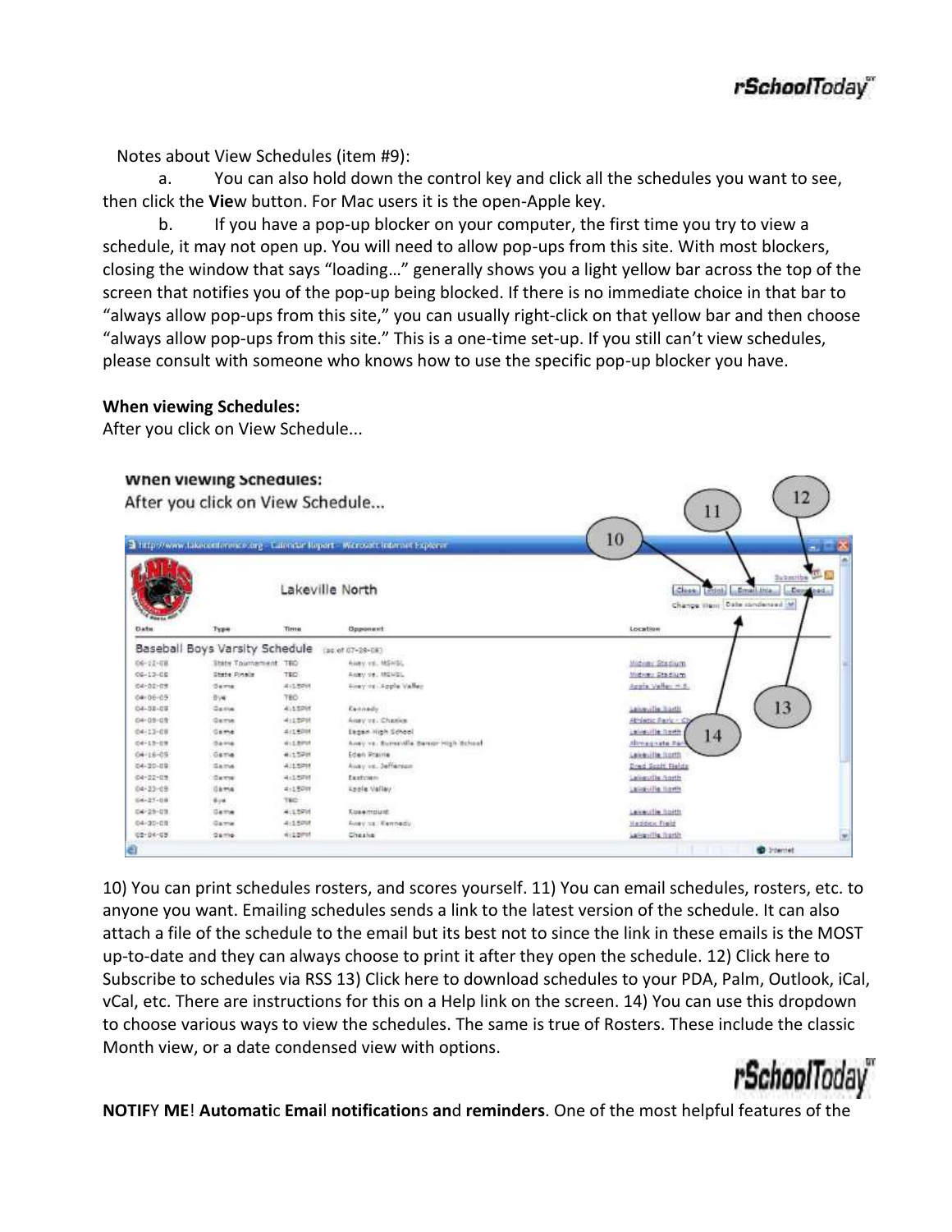$12$ 

 $\bigcap_{1}$ 

Notes about View Schedules (item #9):

a. You can also hold down the control key and click all the schedules you want to see, then click the **Vie**w button. For Mac users it is the open‐Apple key.

b. If you have a pop‐up blocker on your computer, the first time you try to view a schedule, it may not open up. You will need to allow pop-ups from this site. With most blockers, closing the window that says "loading…" generally shows you a light yellow bar across the top of the screen that notifies you of the pop-up being blocked. If there is no immediate choice in that bar to "always allow pop‐ups from this site," you can usually right‐click on that yellow bar and then choose "always allow pop‐ups from this site." This is a one‐time set‐up. If you still can't view schedules, please consult with someone who knows how to use the specific pop‐up blocker you have.

## **When viewing Schedules:**

After you click on View Schedule...

## when viewing schedules:

After you click on View Schedule...

|                |                                |              | Lakeville North                       | Subscribe Line<br>Clean Lettot, Lamal Inta<br><b><i><u>Adeptication</u></i></b><br>Change View: Date condensed M. |
|----------------|--------------------------------|--------------|---------------------------------------|-------------------------------------------------------------------------------------------------------------------|
| <b>Datu</b>    | Type                           | Time         | Opponent                              | Location                                                                                                          |
|                | Baseball Boys Varsity Schedule |              | (as of 07+28-08)                      |                                                                                                                   |
| 06-12-08       | State Tournament, TEO          |              | Avev. vs., MSWSL                      | Midwer Stedium                                                                                                    |
| $04 - 13 - 08$ | State Pinela                   | TEO.         | Analysis, MSRSL                       | Midway Stadium                                                                                                    |
| 04-02-05       | <b>Gainte</b>                  | 4.18991      | Roay or - Apple Valley                | Apple Valley H.S.                                                                                                 |
| $0 + 06 - 05$  | 396                            | 760          |                                       |                                                                                                                   |
| 04-32-03       | Garine                         | 415,5295     | Exitado                               | 13<br>Leicecille Rostin                                                                                           |
| 04-09-09       | Garria                         | 4113201      | Anay vs. Charles                      | Athletic Park / C                                                                                                 |
| $04 - 13 - 08$ | Game                           | 411,5201     | Eagain High School                    | Labourile horth<br>14                                                                                             |
| 04-15-09       | Game                           | di Libirizt  | Avey vs. Burnaville Bengr High Brhood | Alteragnists Par                                                                                                  |
| $0 + 16 - 05$  | Game                           | 4117201      | Eden Prairie                          | <b>Calceville Rooth</b>                                                                                           |
| 04-20-09       | Same                           | 425,6208     | Augy vs. Jeffenson                    | Dred Scott Relds                                                                                                  |
| 04-22-09       | 0.0000                         | 4:1.5711     | Exetiment                             | <b>Lakestin north</b>                                                                                             |
| $04 - 23 - 09$ | Gama                           | $4 - 1.9001$ | <b><i><u>Spele</u></i></b> Vallay     | Lassaulla tionis                                                                                                  |
| $04 - 27 - 04$ | dire.                          | TED.         |                                       |                                                                                                                   |
| 04-29-03       | <b>Game</b>                    | 4:15916      | <b>Kosemount</b>                      | Lekeuth horth                                                                                                     |
| 04-30-09       | Game                           | 4:1500       | Away ha. Keynedy                      | Haddex Field                                                                                                      |
| 02-04-05       | Game.                          | 4122PM       | Cheske                                | Labourille hurth                                                                                                  |
| a              |                                |              |                                       | <b>B</b> Internet                                                                                                 |

10) You can print schedules rosters, and scores yourself. 11) You can email schedules, rosters, etc. to anyone you want. Emailing schedules sends a link to the latest version of the schedule. It can also attach a file of the schedule to the email but its best not to since the link in these emails is the MOST up‐to‐date and they can always choose to print it after they open the schedule. 12) Click here to Subscribe to schedules via RSS 13) Click here to download schedules to your PDA, Palm, Outlook, iCal, vCal, etc. There are instructions for this on a Help link on the screen. 14) You can use this dropdown to choose various ways to view the schedules. The same is true of Rosters. These include the classic Month view, or a date condensed view with options.



**NOTIF**Y **ME**! **Automati**c **Emai**l **notification**s **an**d **reminders**. One of the most helpful features of the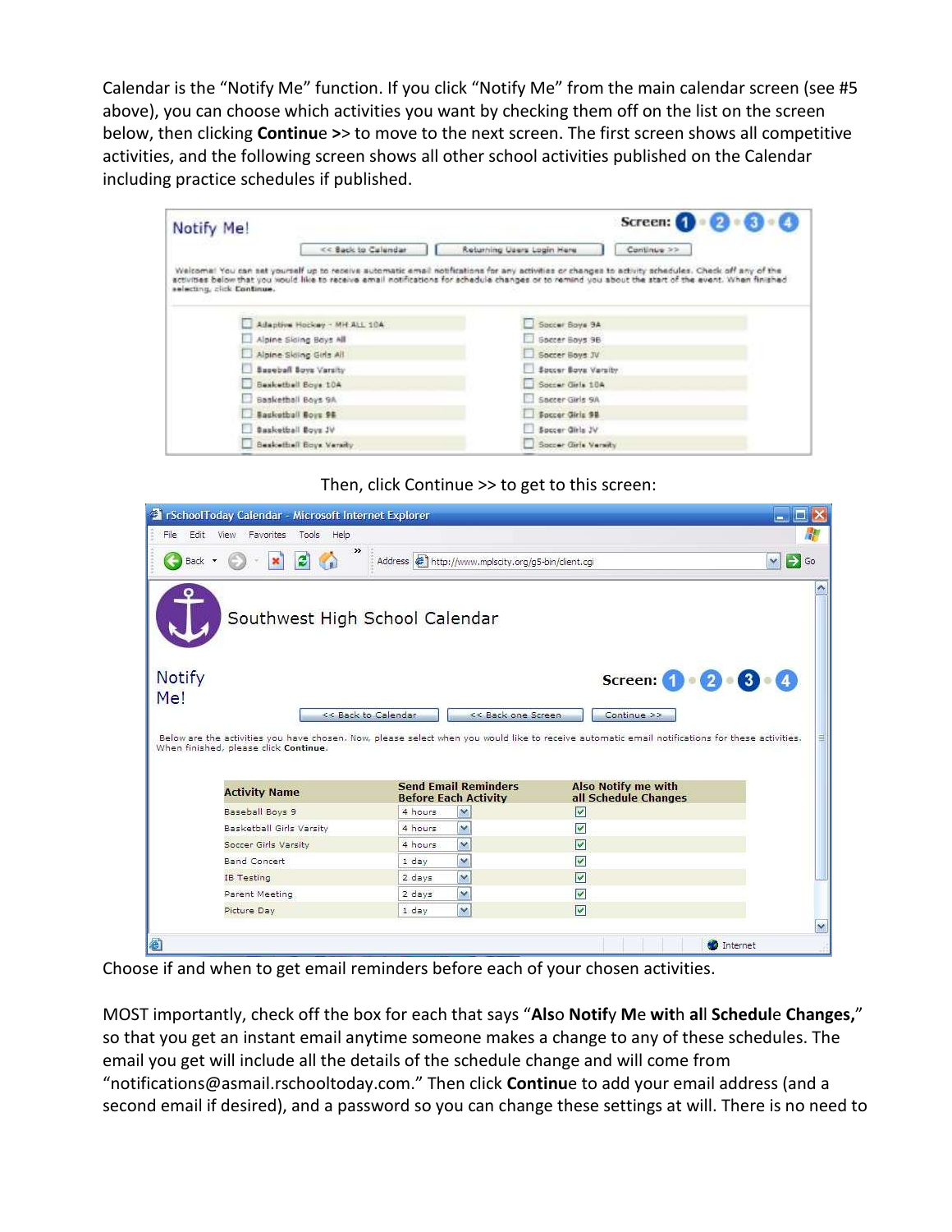Calendar is the "Notify Me" function. If you click "Notify Me" from the main calendar screen (see #5 above), you can choose which activities you want by checking them off on the list on the screen below, then clicking **Continu**e **>**> to move to the next screen. The first screen shows all competitive activities, and the following screen shows all other school activities published on the Calendar including practice schedules if published.

| Notify Me!                   |                              |                                                                                                                                                                                                                                                                                                              | Screen: (1)<br>$-2 + 6$ |
|------------------------------|------------------------------|--------------------------------------------------------------------------------------------------------------------------------------------------------------------------------------------------------------------------------------------------------------------------------------------------------------|-------------------------|
|                              | << Back to Calendar          | Returning Users Login Here                                                                                                                                                                                                                                                                                   | Continue >>             |
| selecting, click Continue.   |                              | Welcome: You can set yourself up to receive automatic email notifications for any activities or changes to activity schedules. Check off any of the<br>activities below that you would like to receive email notifications for schedule changes or to remind you about the start of the event. When finished |                         |
|                              | Adaptive Hockey - MH ALL 10A | Soccer Boys 9A                                                                                                                                                                                                                                                                                               |                         |
| Alpine Skiing Boys All       |                              | Soccer Boys 9B                                                                                                                                                                                                                                                                                               |                         |
| Alpine Skiing Girls All      |                              | Soccer Boys JV                                                                                                                                                                                                                                                                                               |                         |
| <b>Baseball Boys Varsity</b> |                              | Soccer Boys Varsity                                                                                                                                                                                                                                                                                          |                         |
| <b>Besketbell Boys 10A</b>   |                              | Specar Girls 10A                                                                                                                                                                                                                                                                                             |                         |
| Basketball Boys 9A           |                              | Soccer Girls 9A                                                                                                                                                                                                                                                                                              |                         |
|                              |                              | Soccer Girls 98                                                                                                                                                                                                                                                                                              |                         |
| Saskathall Boys 96           |                              |                                                                                                                                                                                                                                                                                                              |                         |
| Sasketball Boys JV           |                              | Spacer Girls JV                                                                                                                                                                                                                                                                                              |                         |



|               | <sup>2</sup> rSchoolToday Calendar - Microsoft Internet Explorer |                     |                                                            |                                                                                                                                                 |                    |
|---------------|------------------------------------------------------------------|---------------------|------------------------------------------------------------|-------------------------------------------------------------------------------------------------------------------------------------------------|--------------------|
| File          | Edit View<br>Favorites Tools<br>Help                             |                     |                                                            |                                                                                                                                                 |                    |
| Back          | $\rightarrow$                                                    |                     | Address @ http://www.mplscity.org/g5-bin/client.cgi        |                                                                                                                                                 | $\mathbf{v}$<br>Go |
|               | Southwest High School Calendar                                   |                     |                                                            |                                                                                                                                                 |                    |
| <b>Notify</b> |                                                                  |                     |                                                            | Screen: $\begin{pmatrix} 1 & 2 & 3 \end{pmatrix}$ . $\begin{pmatrix} 3 & 4 \end{pmatrix}$                                                       |                    |
| Me!           |                                                                  |                     |                                                            |                                                                                                                                                 |                    |
|               |                                                                  | << Back to Calendar | << Back one Screen                                         | Continue >>                                                                                                                                     |                    |
|               |                                                                  |                     |                                                            | Below are the activities you have chosen. Now, please select when you would like to receive automatic email notifications for these activities. |                    |
|               | When finished, please click Continue.<br><b>Activity Name</b>    |                     | <b>Send Email Reminders</b><br><b>Before Each Activity</b> | <b>Also Notify me with</b><br>all Schedule Changes                                                                                              |                    |
|               | Baseball Boys 9                                                  | 4 hours             | $\checkmark$                                               | $\overline{\mathsf{v}}$                                                                                                                         |                    |
|               | Basketball Girls Varsity                                         | 4 hours             | ×                                                          | $\blacktriangledown$                                                                                                                            |                    |
|               | Soccer Girls Varsity                                             | 4 hours             | $\ddot{\phantom{1}}$                                       | $\overline{\mathsf{v}}$                                                                                                                         |                    |
|               | <b>Band Concert</b>                                              | 1 day               | v                                                          | $\blacktriangledown$                                                                                                                            |                    |
|               | <b>IB</b> Testing                                                | 2 days              | v                                                          | $\overline{\mathsf{v}}$                                                                                                                         |                    |
|               | Parent Meeting                                                   | 2 days              | ×                                                          | $\overline{\mathsf{v}}$                                                                                                                         |                    |
|               | Picture Day                                                      | 1 day               | $\checkmark$                                               | $\overline{\vee}$                                                                                                                               |                    |
|               |                                                                  |                     |                                                            |                                                                                                                                                 |                    |

Choose if and when to get email reminders before each of your chosen activities.

MOST importantly, check off the box for each that says "**Als**o **Notif**y **M**e **wit**h **al**l **Schedul**e **Changes,**" so that you get an instant email anytime someone makes a change to any of these schedules. The email you get will include all the details of the schedule change and will come from "notifications@asmail.rschooltoday.com." Then click **Continu**e to add your email address (and a second email if desired), and a password so you can change these settings at will. There is no need to